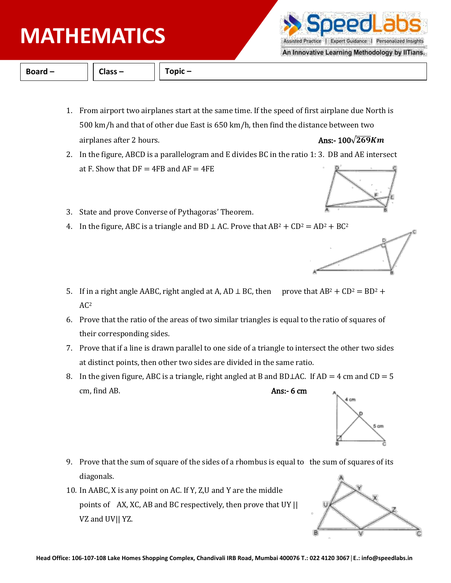# **PHYSICS MATHEMATICS**

**Board – Class – Topic –**

- 1. From airport two airplanes start at the same time. If the speed of first airplane due North is 500 km/h and that of other due East is 650 km/h, then find the distance between two airplanes after 2 hours. Ans:-  $\frac{100\sqrt{269}Km}{2500}$
- 2. In the figure, ABCD is a parallelogram and E divides BC in the ratio 1: 3. DB and AE intersect at F. Show that  $DF = 4FB$  and  $AF = 4FE$
- 3. State and prove Converse of Pythagoras' Theorem.
- 4. In the figure, ABC is a triangle and BD  $\perp$  AC. Prove that AB<sup>2</sup> + CD<sup>2</sup> = AD<sup>2</sup> + BC<sup>2</sup>
- 5. If in a right angle AABC, right angled at A, AD  $\perp$  BC, then prove that AB<sup>2</sup> + CD<sup>2</sup> = BD<sup>2</sup> +  $AC<sup>2</sup>$
- 6. Prove that the ratio of the areas of two similar triangles is equal to the ratio of squares of their corresponding sides.
- 7. Prove that if a line is drawn parallel to one side of a triangle to intersect the other two sides at distinct points, then other two sides are divided in the same ratio.
- 8. In the given figure, ABC is a triangle, right angled at B and BD⊥AC. If AD = 4 cm and CD = 5 cm, find AB. Ans:- 6 cm

- 9. Prove that the sum of square of the sides of a rhombus is equal to the sum of squares of its diagonals.
- 10. In AABC, X is any point on AC. If Y, Z,U and Y are the middle points of AX, XC, AB and BC respectively, then prove that UY || VZ and UV|| YZ.











An Innovative Learning Methodology by IITians.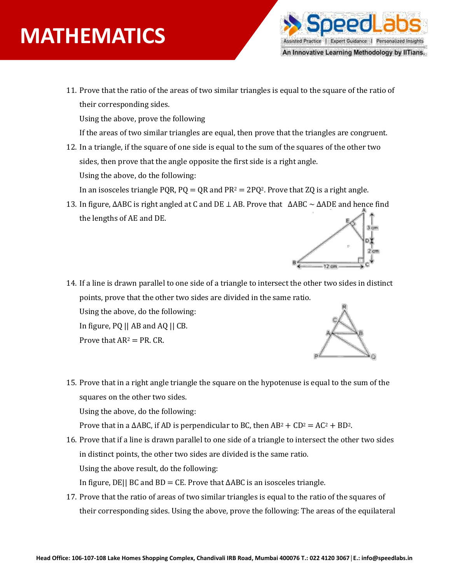# **PHYSICS MATHEMATICS**



11. Prove that the ratio of the areas of two similar triangles is equal to the square of the ratio of their corresponding sides.

Using the above, prove the following

If the areas of two similar triangles are equal, then prove that the triangles are congruent.

12. In a triangle, if the square of one side is equal to the sum of the squares of the other two sides, then prove that the angle opposite the first side is a right angle. Using the above, do the following:

In an isosceles triangle PQR,  $PQ = QR$  and  $PR^2 = 2PQ^2$ . Prove that ZQ is a right angle.

13. In figure, ∆ABC is right angled at C and DE ⊥ AB. Prove that ∆ABC ~ ∆ADE and hence find the lengths of AE and DE.



14. If a line is drawn parallel to one side of a triangle to intersect the other two sides in distinct points, prove that the other two sides are divided in the same ratio. Using the above, do the following:

In figure, PQ || AB and AQ || CB.

Prove that  $AR^2 = PR$ . CR.



15. Prove that in a right angle triangle the square on the hypotenuse is equal to the sum of the squares on the other two sides. Using the above, do the following:

Prove that in a  $\triangle ABC$ , if AD is perpendicular to BC, then  $AB^2 + CD^2 = AC^2 + BD^2$ .

- 16. Prove that if a line is drawn parallel to one side of a triangle to intersect the other two sides in distinct points, the other two sides are divided is the same ratio. Using the above result, do the following: In figure, DE|| BC and BD = CE. Prove that ∆ABC is an isosceles triangle.
- 17. Prove that the ratio of areas of two similar triangles is equal to the ratio of the squares of their corresponding sides. Using the above, prove the following: The areas of the equilateral